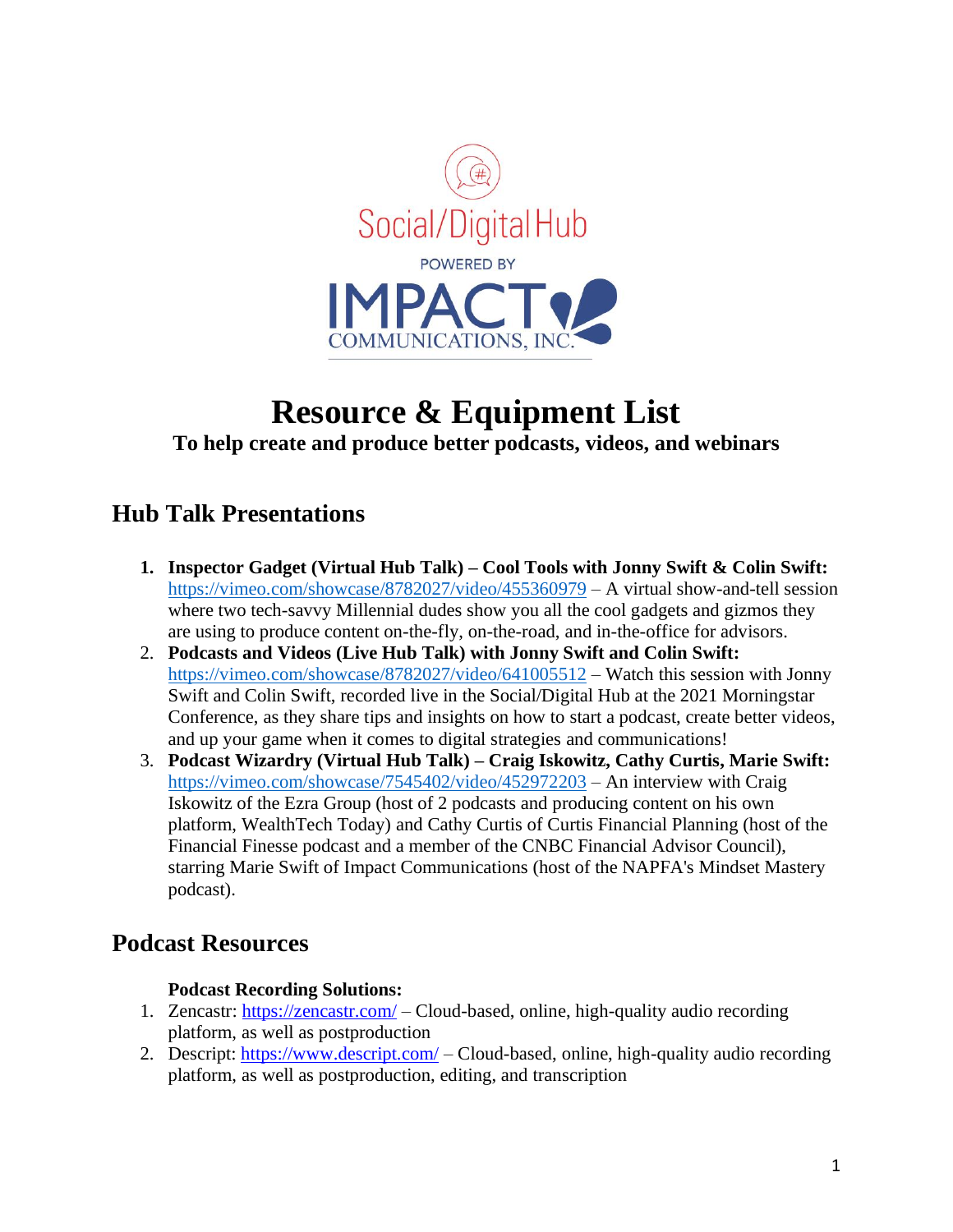

# **Resource & Equipment List To help create and produce better podcasts, videos, and webinars**

# **Hub Talk Presentations**

- **1. Inspector Gadget (Virtual Hub Talk) – Cool Tools with Jonny Swift & Colin Swift:** <https://vimeo.com/showcase/8782027/video/455360979> – A virtual show-and-tell session where two tech-savvy Millennial dudes show you all the cool gadgets and gizmos they are using to produce content on-the-fly, on-the-road, and in-the-office for advisors.
- 2. **Podcasts and Videos (Live Hub Talk) with Jonny Swift and Colin Swift:** <https://vimeo.com/showcase/8782027/video/641005512> – Watch this session with Jonny Swift and Colin Swift, recorded live in the Social/Digital Hub at the 2021 Morningstar Conference, as they share tips and insights on how to start a podcast, create better videos, and up your game when it comes to digital strategies and communications!
- 3. **Podcast Wizardry (Virtual Hub Talk) – Craig Iskowitz, Cathy Curtis, Marie Swift:** <https://vimeo.com/showcase/7545402/video/452972203> – An interview with Craig Iskowitz of the Ezra Group (host of 2 podcasts and producing content on his own platform, WealthTech Today) and Cathy Curtis of Curtis Financial Planning (host of the Financial Finesse podcast and a member of the CNBC Financial Advisor Council), starring Marie Swift of Impact Communications (host of the NAPFA's Mindset Mastery podcast).

## **Podcast Resources**

### **Podcast Recording Solutions:**

- 1. Zencastr:<https://zencastr.com/> Cloud-based, online, high-quality audio recording platform, as well as postproduction
- 2. Descript:<https://www.descript.com/> Cloud-based, online, high-quality audio recording platform, as well as postproduction, editing, and transcription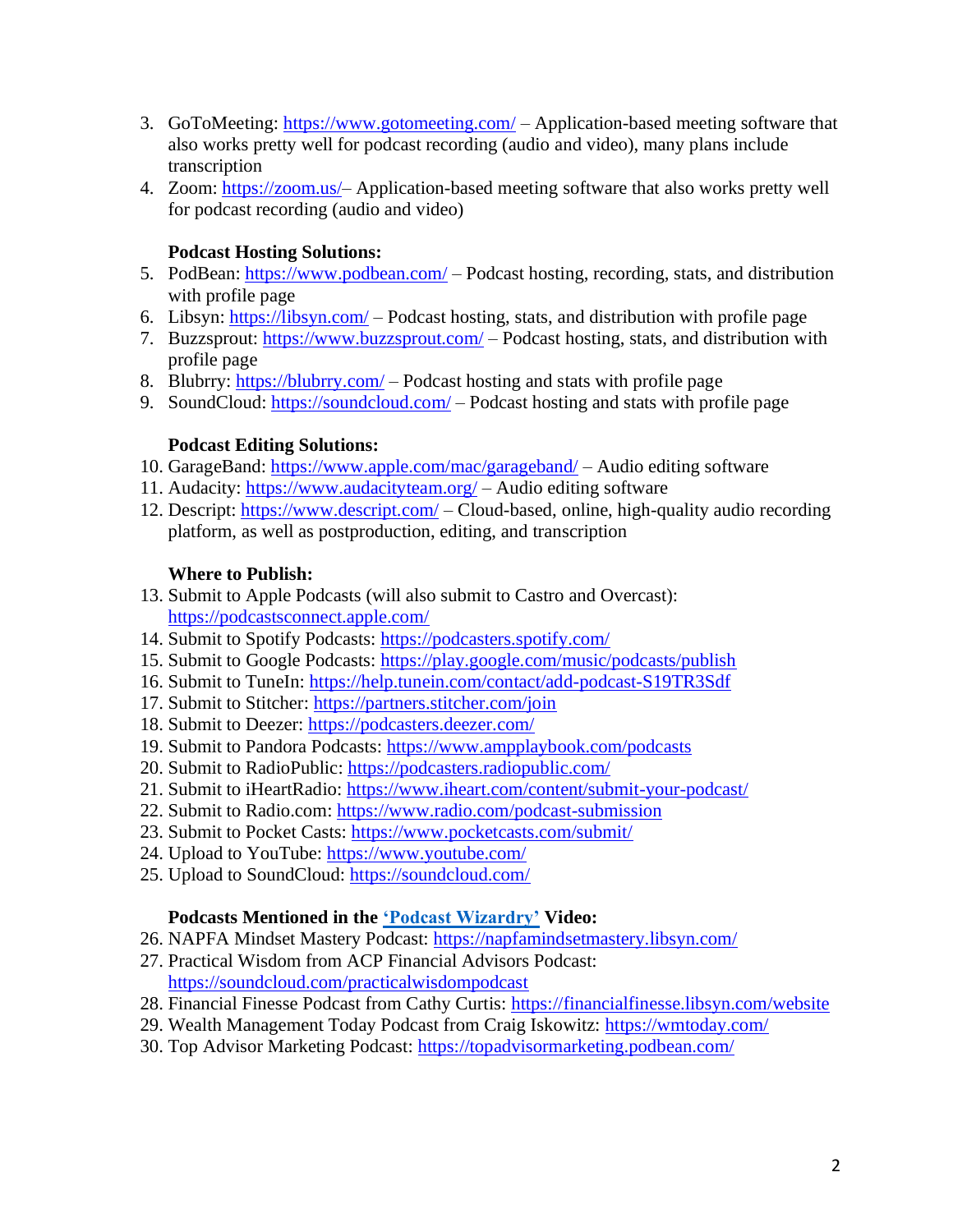- 3. GoToMeeting:<https://www.gotomeeting.com/> Application-based meeting software that also works pretty well for podcast recording (audio and video), many plans include transcription
- 4. Zoom: [https://zoom.us/–](https://zoom.us/) Application-based meeting software that also works pretty well for podcast recording (audio and video)

#### **Podcast Hosting Solutions:**

- 5. PodBean:<https://www.podbean.com/> Podcast hosting, recording, stats, and distribution with profile page
- 6. Libsyn: https://libsyn.com/ Podcast hosting, stats, and distribution with profile page
- 7. Buzzsprout:<https://www.buzzsprout.com/> Podcast hosting, stats, and distribution with profile page
- 8. Blubrry:<https://blubrry.com/> Podcast hosting and stats with profile page
- 9. SoundCloud:<https://soundcloud.com/> Podcast hosting and stats with profile page

#### **Podcast Editing Solutions:**

- 10. GarageBand:<https://www.apple.com/mac/garageband/> Audio editing software
- 11. Audacity:<https://www.audacityteam.org/> Audio editing software
- 12. Descript:<https://www.descript.com/> Cloud-based, online, high-quality audio recording platform, as well as postproduction, editing, and transcription

#### **Where to Publish:**

- 13. Submit to Apple Podcasts (will also submit to Castro and Overcast): <https://podcastsconnect.apple.com/>
- 14. Submit to Spotify Podcasts:<https://podcasters.spotify.com/>
- 15. Submit to Google Podcasts:<https://play.google.com/music/podcasts/publish>
- 16. Submit to TuneIn:<https://help.tunein.com/contact/add-podcast-S19TR3Sdf>
- 17. Submit to Stitcher:<https://partners.stitcher.com/join>
- 18. Submit to Deezer:<https://podcasters.deezer.com/>
- 19. Submit to Pandora Podcasts:<https://www.ampplaybook.com/podcasts>
- 20. Submit to RadioPublic:<https://podcasters.radiopublic.com/>
- 21. Submit to iHeartRadio:<https://www.iheart.com/content/submit-your-podcast/>
- 22. Submit to Radio.com:<https://www.radio.com/podcast-submission>
- 23. Submit to Pocket Casts:<https://www.pocketcasts.com/submit/>
- 24. Upload to YouTube:<https://www.youtube.com/>
- 25. Upload to SoundCloud:<https://soundcloud.com/>

#### **Podcasts Mentioned in the ['Podcast Wizardry'](https://vimeo.com/showcase/7545402/video/452972203) Video:**

- 26. NAPFA Mindset Mastery Podcast:<https://napfamindsetmastery.libsyn.com/>
- 27. Practical Wisdom from ACP Financial Advisors Podcast: <https://soundcloud.com/practicalwisdompodcast>
- 28. Financial Finesse Podcast from Cathy Curtis:<https://financialfinesse.libsyn.com/website>
- 29. Wealth Management Today Podcast from Craig Iskowitz:<https://wmtoday.com/>
- 30. Top Advisor Marketing Podcast:<https://topadvisormarketing.podbean.com/>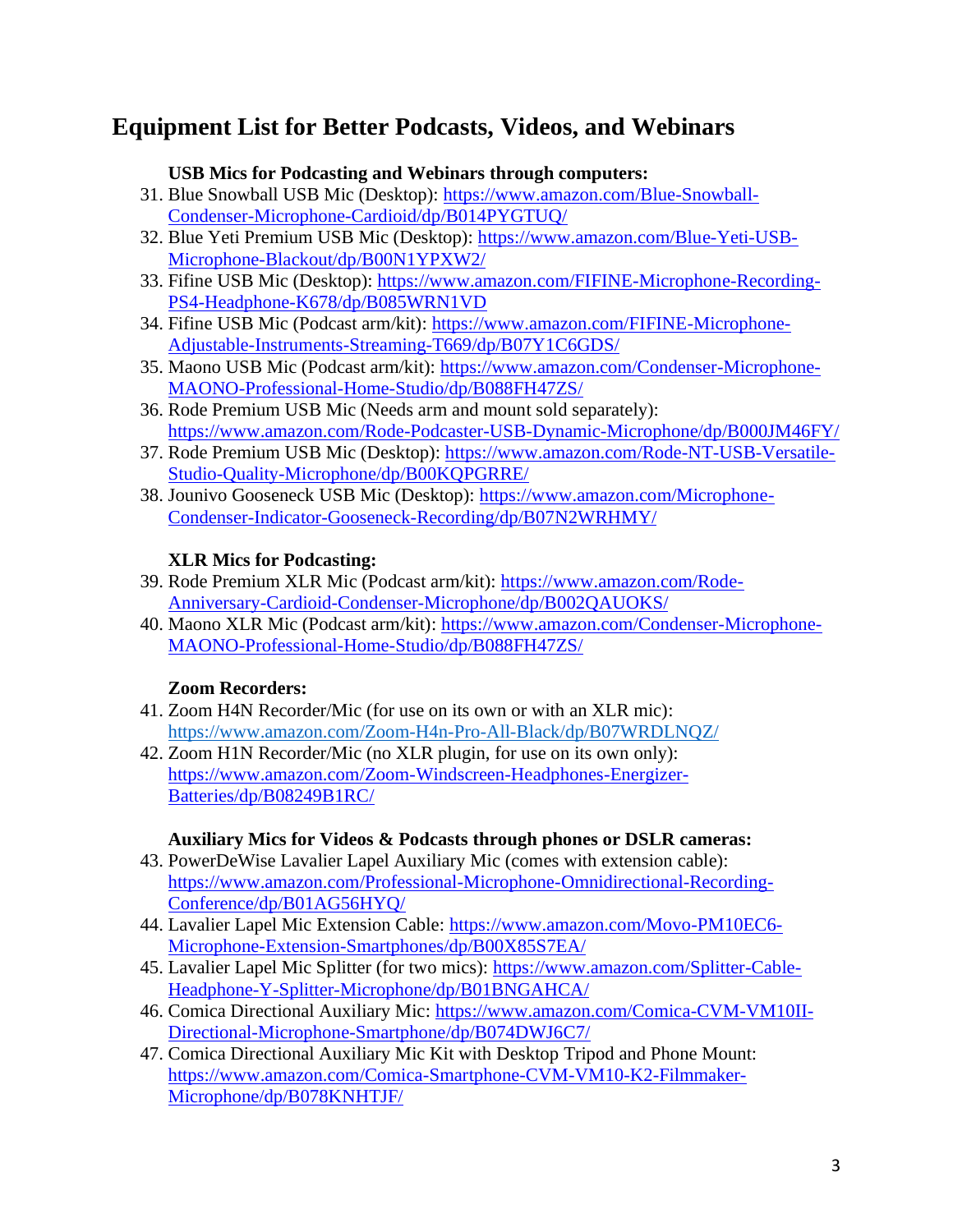# **Equipment List for Better Podcasts, Videos, and Webinars**

#### **USB Mics for Podcasting and Webinars through computers:**

- 31. Blue Snowball USB Mic (Desktop): [https://www.amazon.com/Blue-Snowball-](https://www.amazon.com/Blue-Snowball-Condenser-Microphone-Cardioid/dp/B014PYGTUQ/)[Condenser-Microphone-Cardioid/dp/B014PYGTUQ/](https://www.amazon.com/Blue-Snowball-Condenser-Microphone-Cardioid/dp/B014PYGTUQ/)
- 32. Blue Yeti Premium USB Mic (Desktop): [https://www.amazon.com/Blue-Yeti-USB-](https://www.amazon.com/Blue-Yeti-USB-Microphone-Blackout/dp/B00N1YPXW2/)[Microphone-Blackout/dp/B00N1YPXW2/](https://www.amazon.com/Blue-Yeti-USB-Microphone-Blackout/dp/B00N1YPXW2/)
- 33. Fifine USB Mic (Desktop): [https://www.amazon.com/FIFINE-Microphone-Recording-](https://www.amazon.com/FIFINE-Microphone-Recording-PS4-Headphone-K678/dp/B085WRN1VD)[PS4-Headphone-K678/dp/B085WRN1VD](https://www.amazon.com/FIFINE-Microphone-Recording-PS4-Headphone-K678/dp/B085WRN1VD)
- 34. Fifine USB Mic (Podcast arm/kit): [https://www.amazon.com/FIFINE-Microphone-](https://www.amazon.com/FIFINE-Microphone-Adjustable-Instruments-Streaming-T669/dp/B07Y1C6GDS/)[Adjustable-Instruments-Streaming-T669/dp/B07Y1C6GDS/](https://www.amazon.com/FIFINE-Microphone-Adjustable-Instruments-Streaming-T669/dp/B07Y1C6GDS/)
- 35. Maono USB Mic (Podcast arm/kit): [https://www.amazon.com/Condenser-Microphone-](https://www.amazon.com/Condenser-Microphone-MAONO-Professional-Home-Studio/dp/B088FH47ZS/)[MAONO-Professional-Home-Studio/dp/B088FH47ZS/](https://www.amazon.com/Condenser-Microphone-MAONO-Professional-Home-Studio/dp/B088FH47ZS/)
- 36. Rode Premium USB Mic (Needs arm and mount sold separately): <https://www.amazon.com/Rode-Podcaster-USB-Dynamic-Microphone/dp/B000JM46FY/>
- 37. Rode Premium USB Mic (Desktop): [https://www.amazon.com/Rode-NT-USB-Versatile-](https://www.amazon.com/Rode-NT-USB-Versatile-Studio-Quality-Microphone/dp/B00KQPGRRE/)[Studio-Quality-Microphone/dp/B00KQPGRRE/](https://www.amazon.com/Rode-NT-USB-Versatile-Studio-Quality-Microphone/dp/B00KQPGRRE/)
- 38. Jounivo Gooseneck USB Mic (Desktop): [https://www.amazon.com/Microphone-](https://www.amazon.com/Microphone-Condenser-Indicator-Gooseneck-Recording/dp/B07N2WRHMY/)[Condenser-Indicator-Gooseneck-Recording/dp/B07N2WRHMY/](https://www.amazon.com/Microphone-Condenser-Indicator-Gooseneck-Recording/dp/B07N2WRHMY/)

#### **XLR Mics for Podcasting:**

- 39. Rode Premium XLR Mic (Podcast arm/kit): [https://www.amazon.com/Rode-](https://www.amazon.com/Rode-Anniversary-Cardioid-Condenser-Microphone/dp/B002QAUOKS/)[Anniversary-Cardioid-Condenser-Microphone/dp/B002QAUOKS/](https://www.amazon.com/Rode-Anniversary-Cardioid-Condenser-Microphone/dp/B002QAUOKS/)
- 40. Maono XLR Mic (Podcast arm/kit): [https://www.amazon.com/Condenser-Microphone-](https://www.amazon.com/Condenser-Microphone-MAONO-Professional-Home-Studio/dp/B088FH47ZS/)[MAONO-Professional-Home-Studio/dp/B088FH47ZS/](https://www.amazon.com/Condenser-Microphone-MAONO-Professional-Home-Studio/dp/B088FH47ZS/)

#### **Zoom Recorders:**

- 41. Zoom H4N Recorder/Mic (for use on its own or with an XLR mic): <https://www.amazon.com/Zoom-H4n-Pro-All-Black/dp/B07WRDLNQZ/>
- 42. Zoom H1N Recorder/Mic (no XLR plugin, for use on its own only): [https://www.amazon.com/Zoom-Windscreen-Headphones-Energizer-](https://www.amazon.com/Zoom-Windscreen-Headphones-Energizer-Batteries/dp/B08249B1RC/)[Batteries/dp/B08249B1RC/](https://www.amazon.com/Zoom-Windscreen-Headphones-Energizer-Batteries/dp/B08249B1RC/)

#### **Auxiliary Mics for Videos & Podcasts through phones or DSLR cameras:**

- 43. PowerDeWise Lavalier Lapel Auxiliary Mic (comes with extension cable): [https://www.amazon.com/Professional-Microphone-Omnidirectional-Recording-](https://www.amazon.com/Professional-Microphone-Omnidirectional-Recording-Conference/dp/B01AG56HYQ/)[Conference/dp/B01AG56HYQ/](https://www.amazon.com/Professional-Microphone-Omnidirectional-Recording-Conference/dp/B01AG56HYQ/)
- 44. Lavalier Lapel Mic Extension Cable: [https://www.amazon.com/Movo-PM10EC6-](https://www.amazon.com/Movo-PM10EC6-Microphone-Extension-Smartphones/dp/B00X85S7EA/) [Microphone-Extension-Smartphones/dp/B00X85S7EA/](https://www.amazon.com/Movo-PM10EC6-Microphone-Extension-Smartphones/dp/B00X85S7EA/)
- 45. Lavalier Lapel Mic Splitter (for two mics): [https://www.amazon.com/Splitter-Cable-](https://www.amazon.com/Splitter-Cable-Headphone-Y-Splitter-Microphone/dp/B01BNGAHCA/)[Headphone-Y-Splitter-Microphone/dp/B01BNGAHCA/](https://www.amazon.com/Splitter-Cable-Headphone-Y-Splitter-Microphone/dp/B01BNGAHCA/)
- 46. Comica Directional Auxiliary Mic: [https://www.amazon.com/Comica-CVM-VM10II-](https://www.amazon.com/Comica-CVM-VM10II-Directional-Microphone-Smartphone/dp/B074DWJ6C7/)[Directional-Microphone-Smartphone/dp/B074DWJ6C7/](https://www.amazon.com/Comica-CVM-VM10II-Directional-Microphone-Smartphone/dp/B074DWJ6C7/)
- 47. Comica Directional Auxiliary Mic Kit with Desktop Tripod and Phone Mount: [https://www.amazon.com/Comica-Smartphone-CVM-VM10-K2-Filmmaker-](https://www.amazon.com/Comica-Smartphone-CVM-VM10-K2-Filmmaker-Microphone/dp/B078KNHTJF/)[Microphone/dp/B078KNHTJF/](https://www.amazon.com/Comica-Smartphone-CVM-VM10-K2-Filmmaker-Microphone/dp/B078KNHTJF/)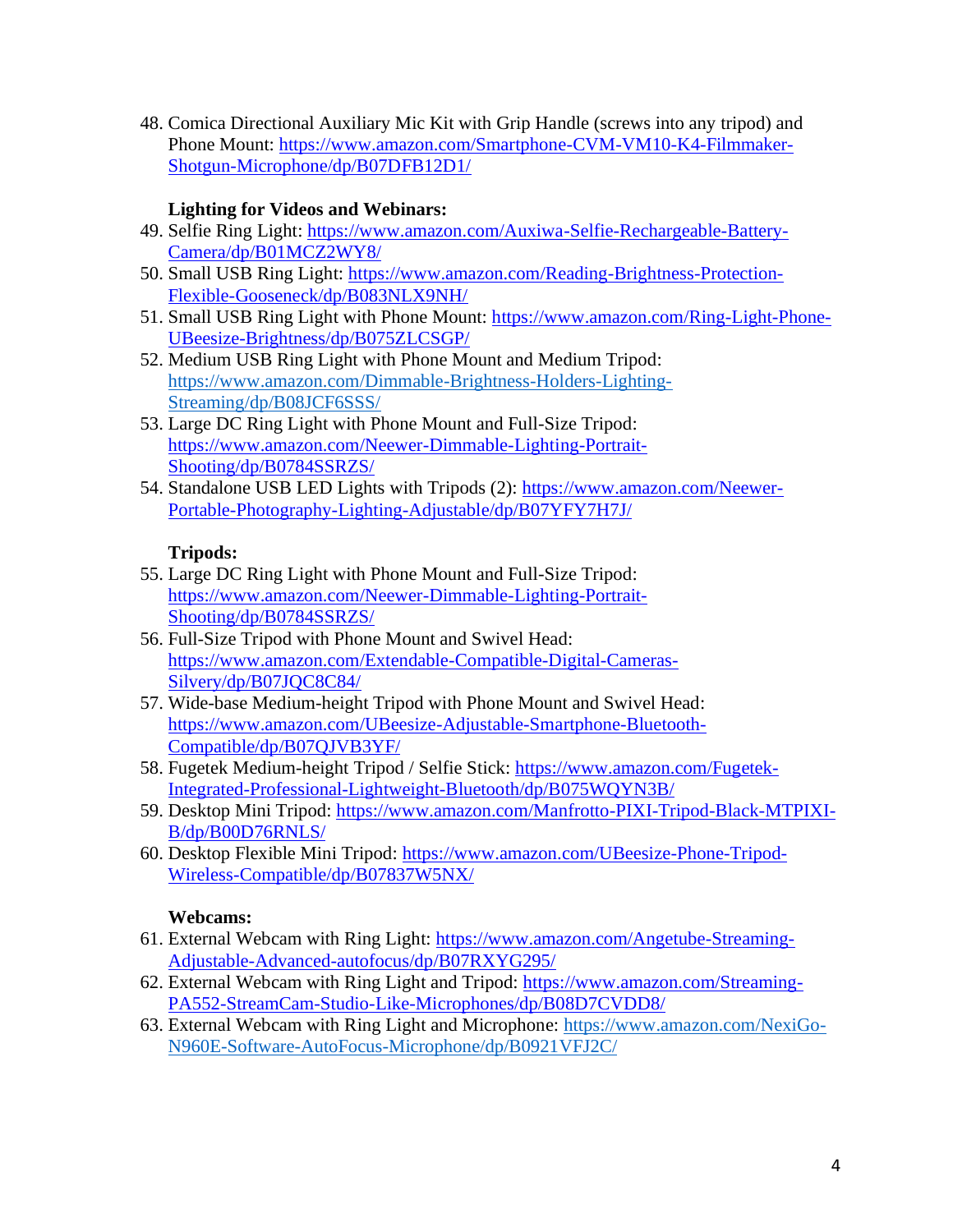48. Comica Directional Auxiliary Mic Kit with Grip Handle (screws into any tripod) and Phone Mount: [https://www.amazon.com/Smartphone-CVM-VM10-K4-Filmmaker-](https://www.amazon.com/Smartphone-CVM-VM10-K4-Filmmaker-Shotgun-Microphone/dp/B07DFB12D1/)[Shotgun-Microphone/dp/B07DFB12D1/](https://www.amazon.com/Smartphone-CVM-VM10-K4-Filmmaker-Shotgun-Microphone/dp/B07DFB12D1/)

### **Lighting for Videos and Webinars:**

- 49. Selfie Ring Light: [https://www.amazon.com/Auxiwa-Selfie-Rechargeable-Battery-](https://www.amazon.com/Auxiwa-Selfie-Rechargeable-Battery-Camera/dp/B01MCZ2WY8/)[Camera/dp/B01MCZ2WY8/](https://www.amazon.com/Auxiwa-Selfie-Rechargeable-Battery-Camera/dp/B01MCZ2WY8/)
- 50. Small USB Ring Light: [https://www.amazon.com/Reading-Brightness-Protection-](https://www.amazon.com/Reading-Brightness-Protection-Flexible-Gooseneck/dp/B083NLX9NH/)[Flexible-Gooseneck/dp/B083NLX9NH/](https://www.amazon.com/Reading-Brightness-Protection-Flexible-Gooseneck/dp/B083NLX9NH/)
- 51. Small USB Ring Light with Phone Mount: [https://www.amazon.com/Ring-Light-Phone-](https://www.amazon.com/Ring-Light-Phone-UBeesize-Brightness/dp/B075ZLCSGP/)[UBeesize-Brightness/dp/B075ZLCSGP/](https://www.amazon.com/Ring-Light-Phone-UBeesize-Brightness/dp/B075ZLCSGP/)
- 52. Medium USB Ring Light with Phone Mount and Medium Tripod: [https://www.amazon.com/Dimmable-Brightness-Holders-Lighting-](https://www.amazon.com/Dimmable-Brightness-Holders-Lighting-Streaming/dp/B08JCF6SSS/)[Streaming/dp/B08JCF6SSS/](https://www.amazon.com/Dimmable-Brightness-Holders-Lighting-Streaming/dp/B08JCF6SSS/)
- 53. Large DC Ring Light with Phone Mount and Full-Size Tripod: [https://www.amazon.com/Neewer-Dimmable-Lighting-Portrait-](https://www.amazon.com/Neewer-Dimmable-Lighting-Portrait-Shooting/dp/B0784SSRZS/)[Shooting/dp/B0784SSRZS/](https://www.amazon.com/Neewer-Dimmable-Lighting-Portrait-Shooting/dp/B0784SSRZS/)
- 54. Standalone USB LED Lights with Tripods (2): [https://www.amazon.com/Neewer-](https://www.amazon.com/Neewer-Portable-Photography-Lighting-Adjustable/dp/B07YFY7H7J/)[Portable-Photography-Lighting-Adjustable/dp/B07YFY7H7J/](https://www.amazon.com/Neewer-Portable-Photography-Lighting-Adjustable/dp/B07YFY7H7J/)

### **Tripods:**

- 55. Large DC Ring Light with Phone Mount and Full-Size Tripod: [https://www.amazon.com/Neewer-Dimmable-Lighting-Portrait-](https://www.amazon.com/Neewer-Dimmable-Lighting-Portrait-Shooting/dp/B0784SSRZS/)[Shooting/dp/B0784SSRZS/](https://www.amazon.com/Neewer-Dimmable-Lighting-Portrait-Shooting/dp/B0784SSRZS/)
- 56. Full-Size Tripod with Phone Mount and Swivel Head: [https://www.amazon.com/Extendable-Compatible-Digital-Cameras-](https://www.amazon.com/Extendable-Compatible-Digital-Cameras-Silvery/dp/B07JQC8C84/)[Silvery/dp/B07JQC8C84/](https://www.amazon.com/Extendable-Compatible-Digital-Cameras-Silvery/dp/B07JQC8C84/)
- 57. Wide-base Medium-height Tripod with Phone Mount and Swivel Head: [https://www.amazon.com/UBeesize-Adjustable-Smartphone-Bluetooth-](https://www.amazon.com/UBeesize-Adjustable-Smartphone-Bluetooth-Compatible/dp/B07QJVB3YF/)[Compatible/dp/B07QJVB3YF/](https://www.amazon.com/UBeesize-Adjustable-Smartphone-Bluetooth-Compatible/dp/B07QJVB3YF/)
- 58. Fugetek Medium-height Tripod / Selfie Stick: [https://www.amazon.com/Fugetek-](https://www.amazon.com/Fugetek-Integrated-Professional-Lightweight-Bluetooth/dp/B075WQYN3B/)[Integrated-Professional-Lightweight-Bluetooth/dp/B075WQYN3B/](https://www.amazon.com/Fugetek-Integrated-Professional-Lightweight-Bluetooth/dp/B075WQYN3B/)
- 59. Desktop Mini Tripod: [https://www.amazon.com/Manfrotto-PIXI-Tripod-Black-MTPIXI-](https://www.amazon.com/Manfrotto-PIXI-Tripod-Black-MTPIXI-B/dp/B00D76RNLS/)[B/dp/B00D76RNLS/](https://www.amazon.com/Manfrotto-PIXI-Tripod-Black-MTPIXI-B/dp/B00D76RNLS/)
- 60. Desktop Flexible Mini Tripod: [https://www.amazon.com/UBeesize-Phone-Tripod-](https://www.amazon.com/UBeesize-Phone-Tripod-Wireless-Compatible/dp/B07837W5NX/)[Wireless-Compatible/dp/B07837W5NX/](https://www.amazon.com/UBeesize-Phone-Tripod-Wireless-Compatible/dp/B07837W5NX/)

#### **Webcams:**

- 61. External Webcam with Ring Light: [https://www.amazon.com/Angetube-Streaming-](https://www.amazon.com/Angetube-Streaming-Adjustable-Advanced-autofocus/dp/B07RXYG295/)[Adjustable-Advanced-autofocus/dp/B07RXYG295/](https://www.amazon.com/Angetube-Streaming-Adjustable-Advanced-autofocus/dp/B07RXYG295/)
- 62. External Webcam with Ring Light and Tripod: [https://www.amazon.com/Streaming-](https://www.amazon.com/Streaming-PA552-StreamCam-Studio-Like-Microphones/dp/B08D7CVDD8/)[PA552-StreamCam-Studio-Like-Microphones/dp/B08D7CVDD8/](https://www.amazon.com/Streaming-PA552-StreamCam-Studio-Like-Microphones/dp/B08D7CVDD8/)
- 63. External Webcam with Ring Light and Microphone: [https://www.amazon.com/NexiGo-](https://www.amazon.com/NexiGo-N960E-Software-AutoFocus-Microphone/dp/B0921VFJ2C/)[N960E-Software-AutoFocus-Microphone/dp/B0921VFJ2C/](https://www.amazon.com/NexiGo-N960E-Software-AutoFocus-Microphone/dp/B0921VFJ2C/)